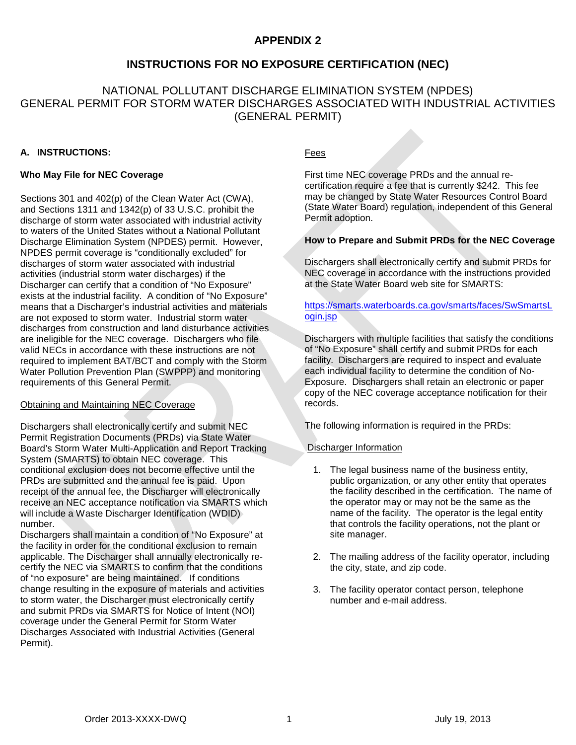# **APPENDIX 2**

## **INSTRUCTIONS FOR NO EXPOSURE CERTIFICATION (NEC)**

# NATIONAL POLLUTANT DISCHARGE ELIMINATION SYSTEM (NPDES) GENERAL PERMIT FOR STORM WATER DISCHARGES ASSOCIATED WITH INDUSTRIAL ACTIVITIES (GENERAL PERMIT)

### **A. INSTRUCTIONS:**

#### **Who May File for NEC Coverage**

Sections 301 and 402(p) of the Clean Water Act (CWA), and Sections 1311 and 1342(p) of 33 U.S.C. prohibit the discharge of storm water associated with industrial activity to waters of the United States without a National Pollutant Discharge Elimination System (NPDES) permit. However, NPDES permit coverage is "conditionally excluded" for discharges of storm water associated with industrial activities (industrial storm water discharges) if the Discharger can certify that a condition of "No Exposure" exists at the industrial facility. A condition of "No Exposure" means that a Discharger's industrial activities and materials are not exposed to storm water. Industrial storm water discharges from construction and land disturbance activities are ineligible for the NEC coverage. Dischargers who file valid NECs in accordance with these instructions are not required to implement BAT/BCT and comply with the Storm Water Pollution Prevention Plan (SWPPP) and monitoring requirements of this General Permit.

#### Obtaining and Maintaining NEC Coverage

Dischargers shall electronically certify and submit NEC Permit Registration Documents (PRDs) via State Water Board's Storm Water Multi-Application and Report Tracking System (SMARTS) to obtain NEC coverage. This conditional exclusion does not become effective until the PRDs are submitted and the annual fee is paid. Upon receipt of the annual fee, the Discharger will electronically receive an NEC acceptance notification via SMARTS which will include a Waste Discharger Identification (WDID) number.

Dischargers shall maintain a condition of "No Exposure" at the facility in order for the conditional exclusion to remain applicable. The Discharger shall annually electronically recertify the NEC via SMARTS to confirm that the conditions of "no exposure" are being maintained. If conditions change resulting in the exposure of materials and activities to storm water, the Discharger must electronically certify and submit PRDs via SMARTS for Notice of Intent (NOI) coverage under the General Permit for Storm Water Discharges Associated with Industrial Activities (General Permit).

### Fees

First time NEC coverage PRDs and the annual recertification require a fee that is currently \$242. This fee may be changed by State Water Resources Control Board (State Water Board) regulation, independent of this General Permit adoption.

#### **How to Prepare and Submit PRDs for the NEC Coverage**

Dischargers shall electronically certify and submit PRDs for NEC coverage in accordance with the instructions provided at the State Water Board web site for SMARTS:

## [https://smarts.waterboards.ca.gov/smarts/faces/SwSmartsL](https://smarts.waterboards.ca.gov/smarts/faces/SwSmartsLogin.jsp) [ogin.jsp](https://smarts.waterboards.ca.gov/smarts/faces/SwSmartsLogin.jsp)

Dischargers with multiple facilities that satisfy the conditions of "No Exposure" shall certify and submit PRDs for each facility. Dischargers are required to inspect and evaluate each individual facility to determine the condition of No-Exposure. Dischargers shall retain an electronic or paper copy of the NEC coverage acceptance notification for their records.

The following information is required in the PRDs:

### Discharger Information

- 1. The legal business name of the business entity, public organization, or any other entity that operates the facility described in the certification. The name of the operator may or may not be the same as the name of the facility. The operator is the legal entity that controls the facility operations, not the plant or site manager.
- 2. The mailing address of the facility operator, including the city, state, and zip code.
- 3. The facility operator contact person, telephone number and e-mail address.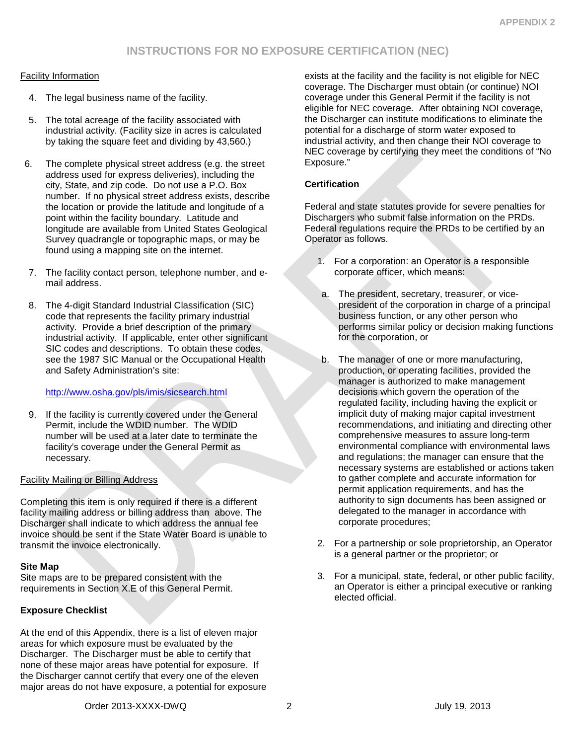### Facility Information

- 4. The legal business name of the facility.
- 5. The total acreage of the facility associated with industrial activity. (Facility size in acres is calculated by taking the square feet and dividing by 43,560.)
- 6. The complete physical street address (e.g. the street address used for express deliveries), including the city, State, and zip code. Do not use a P.O. Box number. If no physical street address exists, describe the location or provide the latitude and longitude of a point within the facility boundary. Latitude and longitude are available from United States Geological Survey quadrangle or topographic maps, or may be found using a mapping site on the internet.
- 7. The facility contact person, telephone number, and email address.
- 8. The 4-digit Standard Industrial Classification (SIC) code that represents the facility primary industrial activity. Provide a brief description of the primary industrial activity. If applicable, enter other significant SIC codes and descriptions. To obtain these codes, see the 1987 SIC Manual or the Occupational Health and Safety Administration's site:

### <http://www.osha.gov/pls/imis/sicsearch.html>

9. If the facility is currently covered under the General Permit, include the WDID number. The WDID number will be used at a later date to terminate the facility's coverage under the General Permit as necessary.

### Facility Mailing or Billing Address

Completing this item is only required if there is a different facility mailing address or billing address than above. The Discharger shall indicate to which address the annual fee invoice should be sent if the State Water Board is unable to transmit the invoice electronically.

### **Site Map**

Site maps are to be prepared consistent with the requirements in Section X.E of this General Permit.

## **Exposure Checklist**

At the end of this Appendix, there is a list of eleven major areas for which exposure must be evaluated by the Discharger. The Discharger must be able to certify that none of these major areas have potential for exposure. If the Discharger cannot certify that every one of the eleven major areas do not have exposure, a potential for exposure exists at the facility and the facility is not eligible for NEC coverage. The Discharger must obtain (or continue) NOI coverage under this General Permit if the facility is not eligible for NEC coverage. After obtaining NOI coverage, the Discharger can institute modifications to eliminate the potential for a discharge of storm water exposed to industrial activity, and then change their NOI coverage to NEC coverage by certifying they meet the conditions of "No Exposure."

### **Certification**

Federal and state statutes provide for severe penalties for Dischargers who submit false information on the PRDs. Federal regulations require the PRDs to be certified by an Operator as follows.

- 1. For a corporation: an Operator is a responsible corporate officer, which means:
- a. The president, secretary, treasurer, or vicepresident of the corporation in charge of a principal business function, or any other person who performs similar policy or decision making functions for the corporation, or
- b. The manager of one or more manufacturing, production, or operating facilities, provided the manager is authorized to make management decisions which govern the operation of the regulated facility, including having the explicit or implicit duty of making major capital investment recommendations, and initiating and directing other comprehensive measures to assure long-term environmental compliance with environmental laws and regulations; the manager can ensure that the necessary systems are established or actions taken to gather complete and accurate information for permit application requirements, and has the authority to sign documents has been assigned or delegated to the manager in accordance with corporate procedures;
- 2. For a partnership or sole proprietorship, an Operator is a general partner or the proprietor; or
- 3. For a municipal, state, federal, or other public facility, an Operator is either a principal executive or ranking elected official.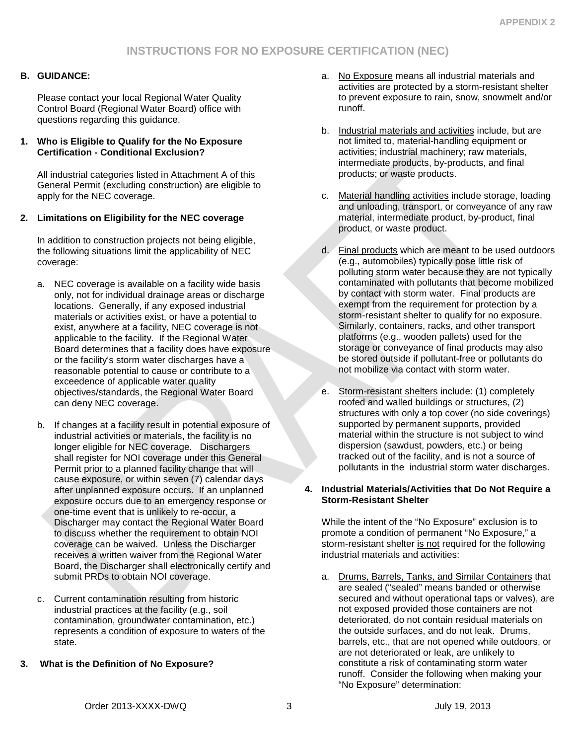## **B. GUIDANCE:**

Please contact your local Regional Water Quality Control Board (Regional Water Board) office with questions regarding this guidance.

### **1. Who is Eligible to Qualify for the No Exposure Certification - Conditional Exclusion?**

All industrial categories listed in Attachment A of this General Permit (excluding construction) are eligible to apply for the NEC coverage.

## **2. Limitations on Eligibility for the NEC coverage**

In addition to construction projects not being eligible, the following situations limit the applicability of NEC coverage:

- a. NEC coverage is available on a facility wide basis only, not for individual drainage areas or discharge locations. Generally, if any exposed industrial materials or activities exist, or have a potential to exist, anywhere at a facility, NEC coverage is not applicable to the facility. If the Regional Water Board determines that a facility does have exposure or the facility's storm water discharges have a reasonable potential to cause or contribute to a exceedence of applicable water quality objectives/standards, the Regional Water Board can deny NEC coverage.
- b. If changes at a facility result in potential exposure of industrial activities or materials, the facility is no longer eligible for NEC coverage. Dischargers shall register for NOI coverage under this General Permit prior to a planned facility change that will cause exposure, or within seven (7) calendar days after unplanned exposure occurs. If an unplanned exposure occurs due to an emergency response or one-time event that is unlikely to re-occur, a Discharger may contact the Regional Water Board to discuss whether the requirement to obtain NOI coverage can be waived. Unless the Discharger receives a written waiver from the Regional Water Board, the Discharger shall electronically certify and submit PRDs to obtain NOI coverage.
- c. Current contamination resulting from historic industrial practices at the facility (e.g., soil contamination, groundwater contamination, etc.) represents a condition of exposure to waters of the state.
- **3. What is the Definition of No Exposure?**
- a. No Exposure means all industrial materials and activities are protected by a storm-resistant shelter to prevent exposure to rain, snow, snowmelt and/or runoff.
- b. Industrial materials and activities include, but are not limited to, material-handling equipment or activities; industrial machinery; raw materials, intermediate products, by-products, and final products; or waste products.
- c. Material handling activities include storage, loading and unloading, transport, or conveyance of any raw material, intermediate product, by-product, final product, or waste product.
- d. Final products which are meant to be used outdoors (e.g., automobiles) typically pose little risk of polluting storm water because they are not typically contaminated with pollutants that become mobilized by contact with storm water. Final products are exempt from the requirement for protection by a storm-resistant shelter to qualify for no exposure. Similarly, containers, racks, and other transport platforms (e.g., wooden pallets) used for the storage or conveyance of final products may also be stored outside if pollutant-free or pollutants do not mobilize via contact with storm water.
- e. Storm-resistant shelters include: (1) completely roofed and walled buildings or structures, (2) structures with only a top cover (no side coverings) supported by permanent supports, provided material within the structure is not subject to wind dispersion (sawdust, powders, etc.) or being tracked out of the facility, and is not a source of pollutants in the industrial storm water discharges.

### **4. Industrial Materials/Activities that Do Not Require a Storm-Resistant Shelter**

While the intent of the "No Exposure" exclusion is to promote a condition of permanent "No Exposure," a storm-resistant shelter is not required for the following industrial materials and activities:

a. Drums, Barrels, Tanks, and Similar Containers that are sealed ("sealed" means banded or otherwise secured and without operational taps or valves), are not exposed provided those containers are not deteriorated, do not contain residual materials on the outside surfaces, and do not leak. Drums, barrels, etc., that are not opened while outdoors, or are not deteriorated or leak, are unlikely to constitute a risk of contaminating storm water runoff. Consider the following when making your "No Exposure" determination: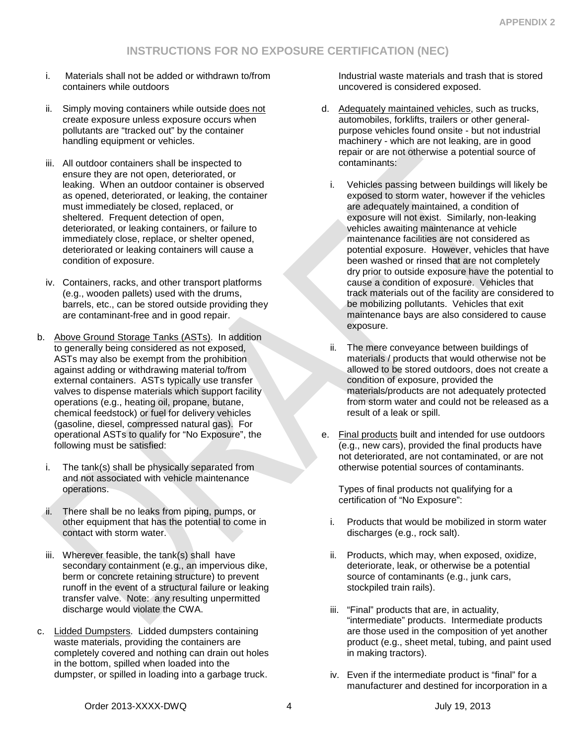- i. Materials shall not be added or withdrawn to/from containers while outdoors
- ii. Simply moving containers while outside does not create exposure unless exposure occurs when pollutants are "tracked out" by the container handling equipment or vehicles.
- iii. All outdoor containers shall be inspected to ensure they are not open, deteriorated, or leaking. When an outdoor container is observed as opened, deteriorated, or leaking, the container must immediately be closed, replaced, or sheltered. Frequent detection of open, deteriorated, or leaking containers, or failure to immediately close, replace, or shelter opened, deteriorated or leaking containers will cause a condition of exposure.
- iv. Containers, racks, and other transport platforms (e.g., wooden pallets) used with the drums, barrels, etc., can be stored outside providing they are contaminant-free and in good repair.
- b. Above Ground Storage Tanks (ASTs). In addition to generally being considered as not exposed, ASTs may also be exempt from the prohibition against adding or withdrawing material to/from external containers. ASTs typically use transfer valves to dispense materials which support facility operations (e.g., heating oil, propane, butane, chemical feedstock) or fuel for delivery vehicles (gasoline, diesel, compressed natural gas). For operational ASTs to qualify for "No Exposure", the following must be satisfied:
	- i. The tank(s) shall be physically separated from and not associated with vehicle maintenance operations.
	- ii. There shall be no leaks from piping, pumps, or other equipment that has the potential to come in contact with storm water.
	- iii. Wherever feasible, the tank(s) shall have secondary containment (e.g., an impervious dike, berm or concrete retaining structure) to prevent runoff in the event of a structural failure or leaking transfer valve. Note: any resulting unpermitted discharge would violate the CWA.
- c. Lidded Dumpsters. Lidded dumpsters containing waste materials, providing the containers are completely covered and nothing can drain out holes in the bottom, spilled when loaded into the dumpster, or spilled in loading into a garbage truck.

Industrial waste materials and trash that is stored uncovered is considered exposed.

- d. Adequately maintained vehicles, such as trucks, automobiles, forklifts, trailers or other generalpurpose vehicles found onsite - but not industrial machinery - which are not leaking, are in good repair or are not otherwise a potential source of contaminants:
	- i. Vehicles passing between buildings will likely be exposed to storm water, however if the vehicles are adequately maintained, a condition of exposure will not exist. Similarly, non-leaking vehicles awaiting maintenance at vehicle maintenance facilities are not considered as potential exposure. However, vehicles that have been washed or rinsed that are not completely dry prior to outside exposure have the potential to cause a condition of exposure. Vehicles that track materials out of the facility are considered to be mobilizing pollutants. Vehicles that exit maintenance bays are also considered to cause exposure.
	- ii. The mere conveyance between buildings of materials / products that would otherwise not be allowed to be stored outdoors, does not create a condition of exposure, provided the materials/products are not adequately protected from storm water and could not be released as a result of a leak or spill.
- e. Final products built and intended for use outdoors (e.g., new cars), provided the final products have not deteriorated, are not contaminated, or are not otherwise potential sources of contaminants.

Types of final products not qualifying for a certification of "No Exposure":

- i. Products that would be mobilized in storm water discharges (e.g., rock salt).
- ii. Products, which may, when exposed, oxidize, deteriorate, leak, or otherwise be a potential source of contaminants (e.g., junk cars, stockpiled train rails).
- iii. "Final" products that are, in actuality, "intermediate" products. Intermediate products are those used in the composition of yet another product (e.g., sheet metal, tubing, and paint used in making tractors).
- iv. Even if the intermediate product is "final" for a manufacturer and destined for incorporation in a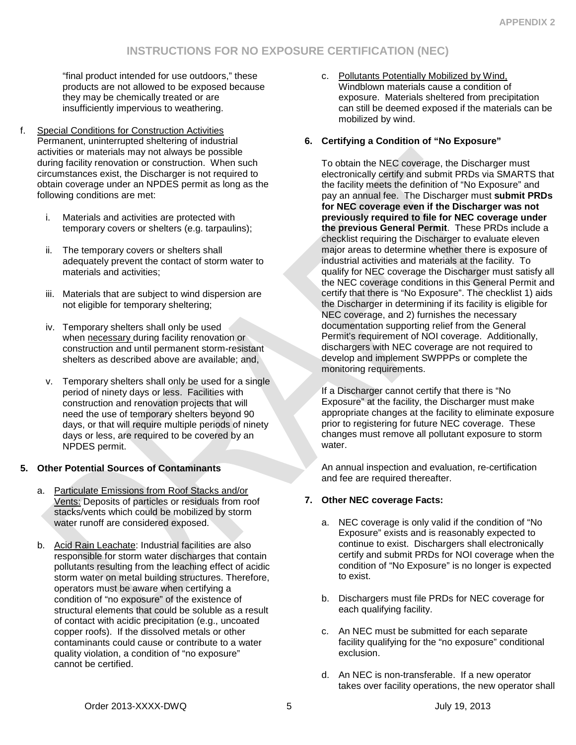"final product intended for use outdoors," these products are not allowed to be exposed because they may be chemically treated or are insufficiently impervious to weathering.

- f. Special Conditions for Construction Activities Permanent, uninterrupted sheltering of industrial activities or materials may not always be possible during facility renovation or construction. When such circumstances exist, the Discharger is not required to obtain coverage under an NPDES permit as long as the following conditions are met:
	- i. Materials and activities are protected with temporary covers or shelters (e.g. tarpaulins);
	- ii. The temporary covers or shelters shall adequately prevent the contact of storm water to materials and activities;
	- iii. Materials that are subject to wind dispersion are not eligible for temporary sheltering;
	- iv. Temporary shelters shall only be used when necessary during facility renovation or construction and until permanent storm-resistant shelters as described above are available; and,
	- v. Temporary shelters shall only be used for a single period of ninety days or less. Facilities with construction and renovation projects that will need the use of temporary shelters beyond 90 days, or that will require multiple periods of ninety days or less, are required to be covered by an NPDES permit.

## **5. Other Potential Sources of Contaminants**

- a. Particulate Emissions from Roof Stacks and/or Vents: Deposits of particles or residuals from roof stacks/vents which could be mobilized by storm water runoff are considered exposed.
- b. Acid Rain Leachate: Industrial facilities are also responsible for storm water discharges that contain pollutants resulting from the leaching effect of acidic storm water on metal building structures. Therefore, operators must be aware when certifying a condition of "no exposure" of the existence of structural elements that could be soluble as a result of contact with acidic precipitation (e.g., uncoated copper roofs). If the dissolved metals or other contaminants could cause or contribute to a water quality violation, a condition of "no exposure" cannot be certified.

c. Pollutants Potentially Mobilized by Wind, Windblown materials cause a condition of exposure. Materials sheltered from precipitation can still be deemed exposed if the materials can be mobilized by wind.

## **6. Certifying a Condition of "No Exposure"**

To obtain the NEC coverage, the Discharger must electronically certify and submit PRDs via SMARTS that the facility meets the definition of "No Exposure" and pay an annual fee. The Discharger must **submit PRDs for NEC coverage even if the Discharger was not previously required to file for NEC coverage under the previous General Permit**. These PRDs include a checklist requiring the Discharger to evaluate eleven major areas to determine whether there is exposure of industrial activities and materials at the facility. To qualify for NEC coverage the Discharger must satisfy all the NEC coverage conditions in this General Permit and certify that there is "No Exposure". The checklist 1) aids the Discharger in determining if its facility is eligible for NEC coverage, and 2) furnishes the necessary documentation supporting relief from the General Permit's requirement of NOI coverage. Additionally, dischargers with NEC coverage are not required to develop and implement SWPPPs or complete the monitoring requirements.

If a Discharger cannot certify that there is "No Exposure" at the facility, the Discharger must make appropriate changes at the facility to eliminate exposure prior to registering for future NEC coverage. These changes must remove all pollutant exposure to storm water.

An annual inspection and evaluation, re-certification and fee are required thereafter.

## **7. Other NEC coverage Facts:**

- a. NEC coverage is only valid if the condition of "No Exposure" exists and is reasonably expected to continue to exist. Dischargers shall electronically certify and submit PRDs for NOI coverage when the condition of "No Exposure" is no longer is expected to exist.
- b. Dischargers must file PRDs for NEC coverage for each qualifying facility.
- c. An NEC must be submitted for each separate facility qualifying for the "no exposure" conditional exclusion.
- d. An NEC is non-transferable. If a new operator takes over facility operations, the new operator shall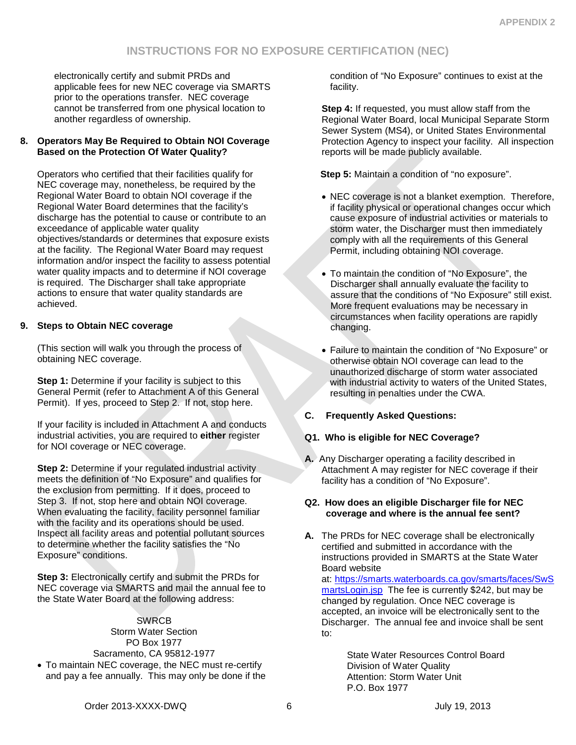electronically certify and submit PRDs and applicable fees for new NEC coverage via SMARTS prior to the operations transfer. NEC coverage cannot be transferred from one physical location to another regardless of ownership.

### **8. Operators May Be Required to Obtain NOI Coverage Based on the Protection Of Water Quality?**

Operators who certified that their facilities qualify for NEC coverage may, nonetheless, be required by the Regional Water Board to obtain NOI coverage if the Regional Water Board determines that the facility's discharge has the potential to cause or contribute to an exceedance of applicable water quality objectives/standards or determines that exposure exists at the facility. The Regional Water Board may request information and/or inspect the facility to assess potential water quality impacts and to determine if NOI coverage is required. The Discharger shall take appropriate actions to ensure that water quality standards are achieved.

## **9. Steps to Obtain NEC coverage**

(This section will walk you through the process of obtaining NEC coverage.

**Step 1:** Determine if your facility is subject to this General Permit (refer to Attachment A of this General Permit). If yes, proceed to Step 2. If not, stop here.

If your facility is included in Attachment A and conducts industrial activities, you are required to **either** register for NOI coverage or NEC coverage.

**Step 2:** Determine if your regulated industrial activity meets the definition of "No Exposure" and qualifies for the exclusion from permitting. If it does, proceed to Step 3. If not, stop here and obtain NOI coverage. When evaluating the facility, facility personnel familiar with the facility and its operations should be used. Inspect all facility areas and potential pollutant sources to determine whether the facility satisfies the "No Exposure" conditions.

**Step 3:** Electronically certify and submit the PRDs for NEC coverage via SMARTS and mail the annual fee to the State Water Board at the following address:

**SWRCB** Storm Water Section PO Box 1977 Sacramento, CA 95812-1977 • To maintain NEC coverage, the NEC must re-certify and pay a fee annually. This may only be done if the condition of "No Exposure" continues to exist at the facility.

**Step 4:** If requested, you must allow staff from the Regional Water Board, local Municipal Separate Storm Sewer System (MS4), or United States Environmental Protection Agency to inspect your facility. All inspection reports will be made publicly available.

**Step 5:** Maintain a condition of "no exposure".

- NEC coverage is not a blanket exemption. Therefore, if facility physical or operational changes occur which cause exposure of industrial activities or materials to storm water, the Discharger must then immediately comply with all the requirements of this General Permit, including obtaining NOI coverage.
- To maintain the condition of "No Exposure", the Discharger shall annually evaluate the facility to assure that the conditions of "No Exposure" still exist. More frequent evaluations may be necessary in circumstances when facility operations are rapidly changing.
- Failure to maintain the condition of "No Exposure" or otherwise obtain NOI coverage can lead to the unauthorized discharge of storm water associated with industrial activity to waters of the United States, resulting in penalties under the CWA.

## **C. Frequently Asked Questions:**

## **Q1. Who is eligible for NEC Coverage?**

**A.** Any Discharger operating a facility described in Attachment A may register for NEC coverage if their facility has a condition of "No Exposure".

### **Q2. How does an eligible Discharger file for NEC coverage and where is the annual fee sent?**

**A.** The PRDs for NEC coverage shall be electronically certified and submitted in accordance with the instructions provided in SMARTS at the State Water Board website

at: [https://smarts.waterboards.ca.gov/smarts/faces/SwS](https://smarts.waterboards.ca.gov/smarts/faces/SwSmartsLogin.jsp) [martsLogin.jsp](https://smarts.waterboards.ca.gov/smarts/faces/SwSmartsLogin.jsp) The fee is currently \$242, but may be changed by regulation. Once NEC coverage is accepted, an invoice will be electronically sent to the Discharger. The annual fee and invoice shall be sent to:

> State Water Resources Control Board Division of Water Quality Attention: Storm Water Unit P.O. Box 1977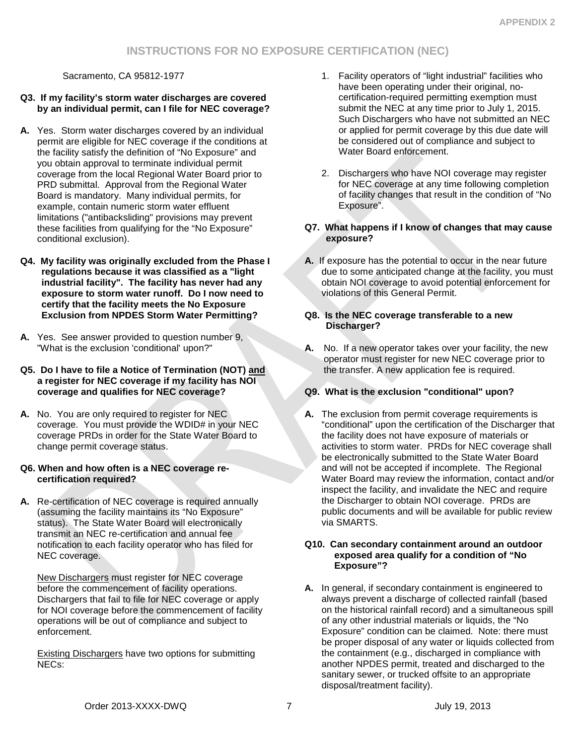Sacramento, CA 95812-1977

## **Q3. If my facility's storm water discharges are covered by an individual permit, can I file for NEC coverage?**

- **A.** Yes. Storm water discharges covered by an individual permit are eligible for NEC coverage if the conditions at the facility satisfy the definition of "No Exposure" and you obtain approval to terminate individual permit coverage from the local Regional Water Board prior to PRD submittal. Approval from the Regional Water Board is mandatory. Many individual permits, for example, contain numeric storm water effluent limitations ("antibacksliding" provisions may prevent these facilities from qualifying for the "No Exposure" conditional exclusion).
- **Q4. My facility was originally excluded from the Phase I regulations because it was classified as a "light industrial facility". The facility has never had any exposure to storm water runoff. Do I now need to certify that the facility meets the No Exposure Exclusion from NPDES Storm Water Permitting?**
- **A.** Yes. See answer provided to question number 9, "What is the exclusion 'conditional' upon?"
- **Q5. Do I have to file a Notice of Termination (NOT) and a register for NEC coverage if my facility has NOI coverage and qualifies for NEC coverage?**
- **A.** No. You are only required to register for NEC coverage. You must provide the WDID# in your NEC coverage PRDs in order for the State Water Board to change permit coverage status.

### **Q6. When and how often is a NEC coverage recertification required?**

**A.** Re-certification of NEC coverage is required annually (assuming the facility maintains its "No Exposure" status). The State Water Board will electronically transmit an NEC re-certification and annual fee notification to each facility operator who has filed for NEC coverage.

New Dischargers must register for NEC coverage before the commencement of facility operations. Dischargers that fail to file for NEC coverage or apply for NOI coverage before the commencement of facility operations will be out of compliance and subject to enforcement.

Existing Dischargers have two options for submitting NECs:

- 1. Facility operators of "light industrial" facilities who have been operating under their original, nocertification-required permitting exemption must submit the NEC at any time prior to July 1, 2015. Such Dischargers who have not submitted an NEC or applied for permit coverage by this due date will be considered out of compliance and subject to Water Board enforcement.
- 2. Dischargers who have NOI coverage may register for NEC coverage at any time following completion of facility changes that result in the condition of "No Exposure".

### **Q7. What happens if I know of changes that may cause exposure?**

**A.** If exposure has the potential to occur in the near future due to some anticipated change at the facility, you must obtain NOI coverage to avoid potential enforcement for violations of this General Permit.

## **Q8. Is the NEC coverage transferable to a new Discharger?**

**A.** No. If a new operator takes over your facility, the new operator must register for new NEC coverage prior to the transfer. A new application fee is required.

## **Q9. What is the exclusion "conditional" upon?**

**A.** The exclusion from permit coverage requirements is "conditional" upon the certification of the Discharger that the facility does not have exposure of materials or activities to storm water. PRDs for NEC coverage shall be electronically submitted to the State Water Board and will not be accepted if incomplete. The Regional Water Board may review the information, contact and/or inspect the facility, and invalidate the NEC and require the Discharger to obtain NOI coverage. PRDs are public documents and will be available for public review via SMARTS.

### **Q10. Can secondary containment around an outdoor exposed area qualify for a condition of "No Exposure"?**

**A.** In general, if secondary containment is engineered to always prevent a discharge of collected rainfall (based on the historical rainfall record) and a simultaneous spill of any other industrial materials or liquids, the "No Exposure" condition can be claimed. Note: there must be proper disposal of any water or liquids collected from the containment (e.g., discharged in compliance with another NPDES permit, treated and discharged to the sanitary sewer, or trucked offsite to an appropriate disposal/treatment facility).